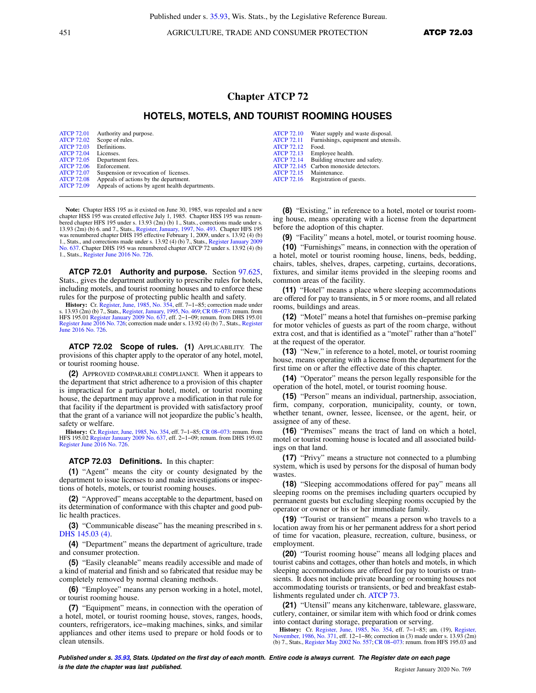451 **AGRICULTURE, TRADE AND CONSUMER PROTECTION ATCP 72.03** 

## **Chapter ATCP 72**

### **HOTELS, MOTELS, AND TOURIST ROOMING HOUSES**

|                   | ATCP 72.01 Authority and purpose.                          |                   | ATCP 72.10 Water supply and waste disposal.     |
|-------------------|------------------------------------------------------------|-------------------|-------------------------------------------------|
|                   | ATCP 72.02 Scope of rules.                                 |                   | ATCP 72.11 Furnishings, equipment and utensils. |
| <b>ATCP 72.03</b> | Definitions.                                               | <b>ATCP 72.12</b> | Food.                                           |
| <b>ATCP 72.04</b> | Licenses.                                                  |                   | ATCP 72.13 Employee health.                     |
|                   | ATCP 72.05 Department fees.                                |                   | ATCP 72.14 Building structure and safety.       |
| <b>ATCP 72.06</b> | Enforcement.                                               |                   | ATCP 72.145 Carbon monoxide detectors.          |
|                   | ATCP 72.07 Suspension or revocation of licenses.           | ATCP 72.15        | Maintenance.                                    |
|                   | ATCP 72.08 Appeals of actions by the department.           |                   | ATCP 72.16 Registration of guests.              |
|                   | ATCP 72.09 Appeals of actions by agent health departments. |                   |                                                 |

**Note:** Chapter HSS 195 as it existed on June 30, 1985, was repealed and a new chapter HSS 195 was created effective July 1, 1985. Chapter HSS 195 was renum-<br>bered chapter HFS 195 under s. 13.93 (2m) (b) 1., Stats., corrections made under s.<br>13.93 (2m) (b) 6. and 7., Stats., Register, January, 1997, was renumbered chapter DHS 195 effective February 1, 2009, under s. 13.92 (4) (b) 1., Stats., and corrections made under s. 13.92 (4) (b) 7., Stats., [Register January 2009](https://docs.legis.wisconsin.gov/document/register/637/B/toc) [No. 637](https://docs.legis.wisconsin.gov/document/register/637/B/toc). Chapter DHS 195 was renumbered chapter ATCP 72 under s. 13.92 (4) (b) 1., Stats., [Register June 2016 No. 726](https://docs.legis.wisconsin.gov/document/register/726/B/toc).

**ATCP 72.01 Authority and purpose.** Section [97.625,](https://docs.legis.wisconsin.gov/document/statutes/97.625) Stats., gives the department authority to prescribe rules for hotels, including motels, and tourist rooming houses and to enforce these rules for the purpose of protecting public health and safety.

**History:** Cr. [Register, June, 1985, No. 354,](https://docs.legis.wisconsin.gov/document/register/354/B/toc) eff. 7–1–85; correction made under<br>s. 13.93 (2m) (b) 7., Stats., [Register, January, 1995, No. 469](https://docs.legis.wisconsin.gov/document/register/469/B/toc); CR 08–073: renum. from<br>HFS 195.01 [Register January 2009 No. 637](https://docs.legis.wisconsin.gov/document/register/637/B/toc), eff. 2–1–09; [June 2016 No. 726.](https://docs.legis.wisconsin.gov/document/register/726/B/toc)

**ATCP 72.02 Scope of rules. (1)** APPLICABILITY. The provisions of this chapter apply to the operator of any hotel, motel, or tourist rooming house.

**(2)** APPROVED COMPARABLE COMPLIANCE. When it appears to the department that strict adherence to a provision of this chapter is impractical for a particular hotel, motel, or tourist rooming house, the department may approve a modification in that rule for that facility if the department is provided with satisfactory proof that the grant of a variance will not jeopardize the public's health,

safety or welfare.<br> **History:** Cr. Register, June, 1985, No. 354, eff. 7–1–85; CR 08–073: renum. from History: Cr. [Register, June, 1985, No. 354,](https://docs.legis.wisconsin.gov/document/register/354/B/toc) eff. 7–1–85; CR 08–073: renum. from<br>HFS 195.02 [Register January 2009 No. 637](https://docs.legis.wisconsin.gov/document/register/637/B/toc), eff. 2–1–09; renum. from DHS 195.02<br>[Register June 2016 No. 726.](https://docs.legis.wisconsin.gov/document/register/726/B/toc)

#### **ATCP 72.03 Definitions.** In this chapter:

**(1)** "Agent" means the city or county designated by the department to issue licenses to and make investigations or inspections of hotels, motels, or tourist rooming houses.

**(2)** "Approved" means acceptable to the department, based on its determination of conformance with this chapter and good public health practices.

**(3)** "Communicable disease" has the meaning prescribed in s. [DHS 145.03 \(4\).](https://docs.legis.wisconsin.gov/document/administrativecode/DHS%20145.03(4))

**(4)** "Department" means the department of agriculture, trade and consumer protection.

**(5)** "Easily cleanable" means readily accessible and made of a kind of material and finish and so fabricated that residue may be completely removed by normal cleaning methods.

**(6)** "Employee" means any person working in a hotel, motel, or tourist rooming house.

**(7)** "Equipment" means, in connection with the operation of a hotel, motel, or tourist rooming house, stoves, ranges, hoods, counters, refrigerators, ice−making machines, sinks, and similar appliances and other items used to prepare or hold foods or to clean utensils.

**(8)** "Existing," in reference to a hotel, motel or tourist rooming house, means operating with a license from the department before the adoption of this chapter.

**(9)** "Facility" means a hotel, motel, or tourist rooming house.

**(10)** "Furnishings" means, in connection with the operation of a hotel, motel or tourist rooming house, linens, beds, bedding, chairs, tables, shelves, drapes, carpeting, curtains, decorations, fixtures, and similar items provided in the sleeping rooms and common areas of the facility.

**(11)** "Hotel" means a place where sleeping accommodations are offered for pay to transients, in 5 or more rooms, and all related rooms, buildings and areas.

**(12)** "Motel" means a hotel that furnishes on−premise parking for motor vehicles of guests as part of the room charge, without extra cost, and that is identified as a "motel" rather than a"hotel" at the request of the operator.

**(13)** "New," in reference to a hotel, motel, or tourist rooming house, means operating with a license from the department for the first time on or after the effective date of this chapter.

**(14)** "Operator" means the person legally responsible for the operation of the hotel, motel, or tourist rooming house.

**(15)** "Person" means an individual, partnership, association, firm, company, corporation, municipality, county, or town, whether tenant, owner, lessee, licensee, or the agent, heir, or assignee of any of these.

**(16)** "Premises" means the tract of land on which a hotel, motel or tourist rooming house is located and all associated buildings on that land.

**(17)** "Privy" means a structure not connected to a plumbing system, which is used by persons for the disposal of human body wastes

**(18)** "Sleeping accommodations offered for pay" means all sleeping rooms on the premises including quarters occupied by permanent guests but excluding sleeping rooms occupied by the operator or owner or his or her immediate family.

**(19)** "Tourist or transient" means a person who travels to a location away from his or her permanent address for a short period of time for vacation, pleasure, recreation, culture, business, or employment.

**(20)** "Tourist rooming house" means all lodging places and tourist cabins and cottages, other than hotels and motels, in which sleeping accommodations are offered for pay to tourists or transients. It does not include private boarding or rooming houses not accommodating tourists or transients, or bed and breakfast establishments regulated under ch. [ATCP 73](https://docs.legis.wisconsin.gov/document/administrativecode/ch.%20ATCP%2073).

**(21)** "Utensil" means any kitchenware, tableware, glassware, cutlery, container, or similar item with which food or drink comes into contact during storage, preparation or serving.

**History:** Cr. [Register, June, 1985, No. 354,](https://docs.legis.wisconsin.gov/document/register/354/B/toc) eff. 7–1–85; am. (19), [Register,](https://docs.legis.wisconsin.gov/document/register/371/B/toc) [November, 1986, No. 371](https://docs.legis.wisconsin.gov/document/register/371/B/toc), eff. 12–1–86; correction in (3) made under s. 13.93 (2m) (b) 7., Stats., [Register May 2002 No. 557;](https://docs.legis.wisconsin.gov/document/register/557/B/toc) [CR 08−073:](https://docs.legis.wisconsin.gov/document/cr/2008/73) renum. from HFS 195.03 and

**Published under s. [35.93,](https://docs.legis.wisconsin.gov/document/statutes/35.93) Stats. Updated on the first day of each month. Entire code is always current. The Register date on each page is the date the chapter was last published. is the date the chapter was last published.** Register January 2020 No. 769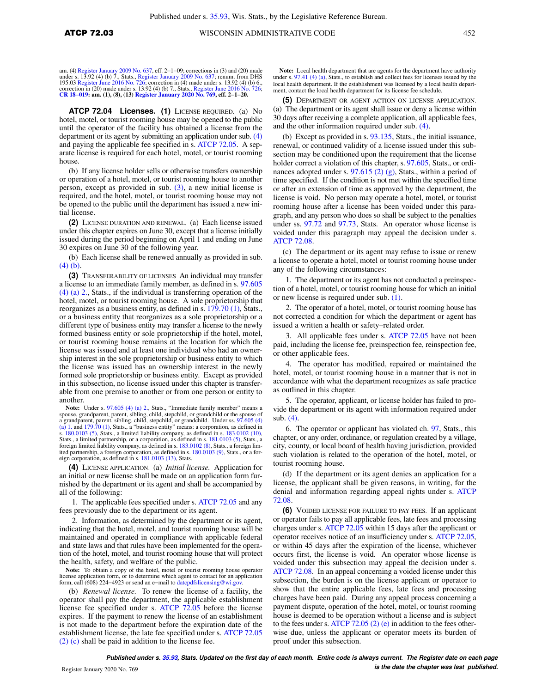am. (4) [Register January 2009 No. 637,](https://docs.legis.wisconsin.gov/document/register/637/B/toc) eff. 2–1–09; corrections in (3) and (20) made<br>under s. 13.92 (4) (b) 7., Stats., [Register January 2009 No. 637](https://docs.legis.wisconsin.gov/document/register/637/B/toc); renum. from DHS<br>195.03 [Register June 2016 No. 726;](https://docs.legis.wisconsin.gov/document/register/726/B/toc) correction in (4) m **[CR 18−019:](https://docs.legis.wisconsin.gov/document/cr/2018/19) am. (1), (8), (13) [Register January 2020 No. 769](https://docs.legis.wisconsin.gov/document/register/769/B/toc), eff. 2−1−20.**

**ATCP 72.04 Licenses. (1)** LICENSE REQUIRED. (a) No hotel, motel, or tourist rooming house may be opened to the public until the operator of the facility has obtained a license from the department or its agent by submitting an application under sub. [\(4\)](https://docs.legis.wisconsin.gov/document/administrativecode/ATCP%2072.04(4)) and paying the applicable fee specified in s. [ATCP 72.05](https://docs.legis.wisconsin.gov/document/administrativecode/ATCP%2072.05). A separate license is required for each hotel, motel, or tourist rooming house.

(b) If any license holder sells or otherwise transfers ownership or operation of a hotel, motel, or tourist rooming house to another person, except as provided in sub. [\(3\),](https://docs.legis.wisconsin.gov/document/administrativecode/ATCP%2072.04(3)) a new initial license is required, and the hotel, motel, or tourist rooming house may not be opened to the public until the department has issued a new initial license.

**(2)** LICENSE DURATION AND RENEWAL. (a) Each license issued under this chapter expires on June 30, except that a license initially issued during the period beginning on April 1 and ending on June 30 expires on June 30 of the following year.

(b) Each license shall be renewed annually as provided in sub. [\(4\) \(b\)](https://docs.legis.wisconsin.gov/document/administrativecode/ATCP%2072.04(4)(b)).

**(3)** TRANSFERABILITY OF LICENSES An individual may transfer a license to an immediate family member, as defined in s. [97.605](https://docs.legis.wisconsin.gov/document/statutes/97.605(4)(a)2.) [\(4\) \(a\) 2.,](https://docs.legis.wisconsin.gov/document/statutes/97.605(4)(a)2.) Stats., if the individual is transferring operation of the hotel, motel, or tourist rooming house. A sole proprietorship that reorganizes as a business entity, as defined in s. [179.70 \(1\),](https://docs.legis.wisconsin.gov/document/statutes/179.70(1)) Stats., or a business entity that reorganizes as a sole proprietorship or a different type of business entity may transfer a license to the newly formed business entity or sole proprietorship if the hotel, motel, or tourist rooming house remains at the location for which the license was issued and at least one individual who had an ownership interest in the sole proprietorship or business entity to which the license was issued has an ownership interest in the newly formed sole proprietorship or business entity. Except as provided in this subsection, no license issued under this chapter is transferable from one premise to another or from one person or entity to another.

Note: Under s. [97.605 \(4\) \(a\) 2.](https://docs.legis.wisconsin.gov/document/statutes/97.605(4)(a)2.), Stats., "Immediate family member" means a spouse, grandparent, parent, sibling, child, stepchild, or grandchild or the spouse of a grandparent, parent, sibling, child, stepchild, or grandchild. Under ss. [97.605 \(4\)](https://docs.legis.wisconsin.gov/document/statutes/97.605(4)(a)1.) [\(a\) 1.](https://docs.legis.wisconsin.gov/document/statutes/97.605(4)(a)1.) and [179.70 \(1\)](https://docs.legis.wisconsin.gov/document/statutes/179.70(1)), Stats., a "business entity" means: a corporation, as defined in s. [180.0103 \(5\),](https://docs.legis.wisconsin.gov/document/statutes/180.0103(5)) Stats., a limited liability company, as defined in s. [183.0102 \(10\)](https://docs.legis.wisconsin.gov/document/statutes/183.0102(10)), Stats., a limited partnership, or a corporation, as defined in s. [181.0103 \(5\),](https://docs.legis.wisconsin.gov/document/statutes/181.0103(5)) Stats., a foreign limited liability company, as defined in s. [183.0102 \(8\),](https://docs.legis.wisconsin.gov/document/statutes/183.0102(8)) Stats., a foreign limited partnership, a foreign corporation, as defined in s. [180.0103 \(9\),](https://docs.legis.wisconsin.gov/document/statutes/180.0103(9)) Stats., or a foreign corporation, as defined in s. [181.0103 \(13\)](https://docs.legis.wisconsin.gov/document/statutes/181.0103(13)), Stats.

**(4)** LICENSE APPLICATION. (a) *Initial license.* Application for an initial or new license shall be made on an application form furnished by the department or its agent and shall be accompanied by all of the following:

1. The applicable fees specified under s. [ATCP 72.05](https://docs.legis.wisconsin.gov/document/administrativecode/ATCP%2072.05) and any fees previously due to the department or its agent.

2. Information, as determined by the department or its agent, indicating that the hotel, motel, and tourist rooming house will be maintained and operated in compliance with applicable federal and state laws and that rules have been implemented for the operation of the hotel, motel, and tourist rooming house that will protect the health, safety, and welfare of the public.

**Note:** To obtain a copy of the hotel, motel or tourist rooming house operator license application form, or to determine which agent to contact for an application form, call (608) 224−4923 or send an e−mail to [datcpdfslicensing@wi.gov.](mailto:datcpdfslicensing@wi.gov)

(b) *Renewal license.* To renew the license of a facility, the operator shall pay the department, the applicable establishment license fee specified under s. [ATCP 72.05](https://docs.legis.wisconsin.gov/document/administrativecode/ATCP%2072.05) before the license expires. If the payment to renew the license of an establishment is not made to the department before the expiration date of the establishment license, the late fee specified under s. [ATCP 72.05](https://docs.legis.wisconsin.gov/document/administrativecode/ATCP%2072.05(2)(c)) [\(2\) \(c\)](https://docs.legis.wisconsin.gov/document/administrativecode/ATCP%2072.05(2)(c)) shall be paid in addition to the license fee.

**Note:** Local health department that are agents for the department have authority under s. [97.41 \(4\) \(a\),](https://docs.legis.wisconsin.gov/document/statutes/97.41(4)(a)) Stats., to establish and collect fees for licenses issued by the local health department. If the establishment was licensed by a local health department, contact the local health department for its license fee schedule.

**(5)** DEPARTMENT OR AGENT ACTION ON LICENSE APPLICATION. (a) The department or its agent shall issue or deny a license within 30 days after receiving a complete application, all applicable fees, and the other information required under sub. [\(4\).](https://docs.legis.wisconsin.gov/document/administrativecode/ATCP%2072.04(4))

(b) Except as provided in s. [93.135,](https://docs.legis.wisconsin.gov/document/statutes/93.135) Stats., the initial issuance, renewal, or continued validity of a license issued under this subsection may be conditioned upon the requirement that the license holder correct a violation of this chapter, s. [97.605,](https://docs.legis.wisconsin.gov/document/statutes/97.605) Stats., or ordinances adopted under s. [97.615 \(2\) \(g\)](https://docs.legis.wisconsin.gov/document/statutes/97.615(2)(g)), Stats., within a period of time specified. If the condition is not met within the specified time or after an extension of time as approved by the department, the license is void. No person may operate a hotel, motel, or tourist rooming house after a license has been voided under this paragraph, and any person who does so shall be subject to the penalties under ss. [97.72](https://docs.legis.wisconsin.gov/document/statutes/97.72) and [97.73](https://docs.legis.wisconsin.gov/document/statutes/97.73), Stats. An operator whose license is voided under this paragraph may appeal the decision under s. [ATCP 72.08.](https://docs.legis.wisconsin.gov/document/administrativecode/ATCP%2072.08)

(c) The department or its agent may refuse to issue or renew a license to operate a hotel, motel or tourist rooming house under any of the following circumstances:

1. The department or its agent has not conducted a preinspection of a hotel, motel, or tourist rooming house for which an initial or new license is required under sub. [\(1\).](https://docs.legis.wisconsin.gov/document/administrativecode/ATCP%2072.04(1))

2. The operator of a hotel, motel, or tourist rooming house has not corrected a condition for which the department or agent has issued a written a health or safety–related order.

3. All applicable fees under s. [ATCP 72.05](https://docs.legis.wisconsin.gov/document/administrativecode/ATCP%2072.05) have not been paid, including the license fee, preinspection fee, reinspection fee, or other applicable fees.

4. The operator has modified, repaired or maintained the hotel, motel, or tourist rooming house in a manner that is not in accordance with what the department recognizes as safe practice as outlined in this chapter.

5. The operator, applicant, or license holder has failed to provide the department or its agent with information required under sub. [\(4\).](https://docs.legis.wisconsin.gov/document/administrativecode/ATCP%2072.04(4))

6. The operator or applicant has violated ch. [97,](https://docs.legis.wisconsin.gov/document/statutes/ch.%2097) Stats., this chapter, or any order, ordinance, or regulation created by a village, city, county, or local board of health having jurisdiction, provided such violation is related to the operation of the hotel, motel, or tourist rooming house.

(d) If the department or its agent denies an application for a license, the applicant shall be given reasons, in writing, for the denial and information regarding appeal rights under s. [ATCP](https://docs.legis.wisconsin.gov/document/administrativecode/ATCP%2072.08) [72.08.](https://docs.legis.wisconsin.gov/document/administrativecode/ATCP%2072.08)

**(6)** VOIDED LICENSE FOR FAILURE TO PAY FEES. If an applicant or operator fails to pay all applicable fees, late fees and processing charges under s. [ATCP 72.05](https://docs.legis.wisconsin.gov/document/administrativecode/ATCP%2072.05) within 15 days after the applicant or operator receives notice of an insufficiency under s. [ATCP 72.05,](https://docs.legis.wisconsin.gov/document/administrativecode/ATCP%2072.05) or within 45 days after the expiration of the license, whichever occurs first, the license is void. An operator whose license is voided under this subsection may appeal the decision under s. [ATCP 72.08](https://docs.legis.wisconsin.gov/document/administrativecode/ATCP%2072.08). In an appeal concerning a voided license under this subsection, the burden is on the license applicant or operator to show that the entire applicable fees, late fees and processing charges have been paid. During any appeal process concerning a payment dispute, operation of the hotel, motel, or tourist rooming house is deemed to be operation without a license and is subject to the fees under s. [ATCP 72.05 \(2\) \(e\)](https://docs.legis.wisconsin.gov/document/administrativecode/ATCP%2072.05(2)(e)) in addition to the fees otherwise due, unless the applicant or operator meets its burden of proof under this subsection.

**Published under s. [35.93,](https://docs.legis.wisconsin.gov/document/statutes/35.93) Stats. Updated on the first day of each month. Entire code is always current. The Register date on each page is the date the chapter was last published.** Register January 2020 No. 769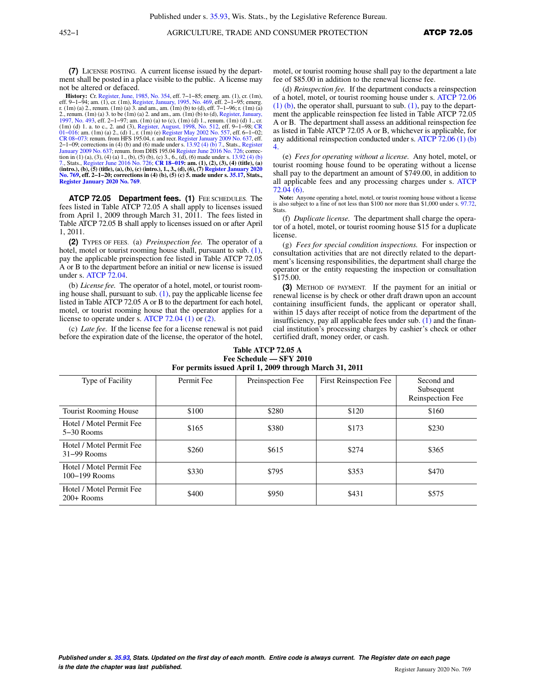**(7)** LICENSE POSTING. A current license issued by the department shall be posted in a place visible to the public. A license may not be altered or defaced.

**History:** Cr. [Register, June, 1985, No. 354](https://docs.legis.wisconsin.gov/document/register/354/B/toc), eff. 7–1–85; emerg. am. (1), cr. (1m), eff. 9–1–94; am. (1), cr. (1m), [Register, January, 1995, No. 469](https://docs.legis.wisconsin.gov/document/register/469/B/toc), eff. 7–1–95; emerg. (1m) (a) 3. and am., am. (1m) (b) to (d), eff. 7–1 [1997, No. 493](https://docs.legis.wisconsin.gov/document/register/493/B/toc), eff. 2–1–97; am. (1m) (a) to (c), (1m) (d) 1., renum. (1m) (d) 1., cr.<br>(1m) (d) 1. a. to c., 2. and (3), [Register, August, 1998, No. 512,](https://docs.legis.wisconsin.gov/document/register/512/B/toc) eff. 9–1–98; [CR](https://docs.legis.wisconsin.gov/document/cr/2001/16)<br>01–016: am. (1m) (a) 2., (d) 1., r. (1m) (e) Register CR 08–073: renum. from HFS 195.04, r. and recr. [Register January 2009 No. 637,](https://docs.legis.wisconsin.gov/document/register/637/B/toc) eff.<br>2–1–09; corrections in (4) (b) and (6) made under s. [13.92 \(4\) \(b\) 7.,](https://docs.legis.wisconsin.gov/document/statutes/13.92(4)(b)7.) Stats., [Register](https://docs.legis.wisconsin.gov/document/register/637/B/toc)<br>[January 2009 No. 637;](https://docs.legis.wisconsin.gov/document/register/637/B/toc) renum. from DHS 195.04 Regis tion in (1) (a), (3), (4) (a) 1,, (b), (5) (b), (c) 3,, 6,, (d), (6) made under s. [13.92 \(4\) \(b\)](https://docs.legis.wisconsin.gov/document/statutes/13.92(4)(b)7.) [7.](https://docs.legis.wisconsin.gov/document/statutes/13.92(4)(b)7.), Stats., [Register June 2016 No. 726](https://docs.legis.wisconsin.gov/document/register/726/B/toc); **[CR 18−019](https://docs.legis.wisconsin.gov/document/cr/2018/19): am. (1), (2), (3), (4) (title), (a) (intro.), (b), (5) (title), (a), (b), (c) (intro.), 1., 3., (d), (6), (7) [Register January 2020](https://docs.legis.wisconsin.gov/document/register/769/B/toc) [No. 769](https://docs.legis.wisconsin.gov/document/register/769/B/toc), eff. 2−1−20; corrections in (4) (b), (5) (c) 5. made under s. [35.17](https://docs.legis.wisconsin.gov/document/statutes/35.17), Stats., [Register January 2020 No. 769](https://docs.legis.wisconsin.gov/document/register/769/B/toc)**.

**ATCP 72.05 Department fees. (1)** FEE SCHEDULES. The fees listed in Table ATCP 72.05 A shall apply to licenses issued from April 1, 2009 through March 31, 2011. The fees listed in Table ATCP 72.05 B shall apply to licenses issued on or after April 1, 2011.

**(2)** TYPES OF FEES. (a) *Preinspection fee.* The operator of a hotel, motel or tourist rooming house shall, pursuant to sub. [\(1\),](https://docs.legis.wisconsin.gov/document/administrativecode/ATCP%2072.05(1)) pay the applicable preinspection fee listed in Table ATCP 72.05 A or B to the department before an initial or new license is issued under s. [ATCP 72.04](https://docs.legis.wisconsin.gov/document/administrativecode/ATCP%2072.04).

(b) *License fee.* The operator of a hotel, motel, or tourist rooming house shall, pursuant to sub.  $(1)$ , pay the applicable license fee listed in Table ATCP 72.05 A or B to the department for each hotel, motel, or tourist rooming house that the operator applies for a license to operate under s. [ATCP 72.04 \(1\)](https://docs.legis.wisconsin.gov/document/administrativecode/ATCP%2072.04(1)) or [\(2\)](https://docs.legis.wisconsin.gov/document/administrativecode/ATCP%2072.04(2)).

(c) *Late fee.* If the license fee for a license renewal is not paid before the expiration date of the license, the operator of the hotel, motel, or tourist rooming house shall pay to the department a late fee of \$85.00 in addition to the renewal license fee.

(d) *Reinspection fee.* If the department conducts a reinspection of a hotel, motel, or tourist rooming house under s. [ATCP 72.06](https://docs.legis.wisconsin.gov/document/administrativecode/ATCP%2072.06(1)(b)) [\(1\) \(b\)](https://docs.legis.wisconsin.gov/document/administrativecode/ATCP%2072.06(1)(b)), the operator shall, pursuant to sub. [\(1\),](https://docs.legis.wisconsin.gov/document/administrativecode/ATCP%2072.05(1)) pay to the department the applicable reinspection fee listed in Table ATCP 72.05 A or B. The department shall assess an additional reinspection fee as listed in Table ATCP 72.05 A or B, whichever is applicable, for any additional reinspection conducted under s. ATCP  $72.06(1)(b)$ [4.](https://docs.legis.wisconsin.gov/document/administrativecode/ATCP%2072.06(1)(b)4.)

(e) *Fees for operating without a license.* Any hotel, motel, or tourist rooming house found to be operating without a license shall pay to the department an amount of \$749.00, in addition to all applicable fees and any processing charges under s. [ATCP](https://docs.legis.wisconsin.gov/document/administrativecode/ATCP%2072.04(6)) [72.04 \(6\)](https://docs.legis.wisconsin.gov/document/administrativecode/ATCP%2072.04(6)).

**Note:** Anyone operating a hotel, motel, or tourist rooming house without a license is also subject to a fine of not less than \$100 nor more than \$1,000 under s. [97.72](https://docs.legis.wisconsin.gov/document/statutes/97.72), Stats.

(f) *Duplicate license.* The department shall charge the operator of a hotel, motel, or tourist rooming house \$15 for a duplicate license.

(g) *Fees for special condition inspections.* For inspection or consultation activities that are not directly related to the department's licensing responsibilities, the department shall charge the operator or the entity requesting the inspection or consultation \$175.00.

**(3)** METHOD OF PAYMENT. If the payment for an initial or renewal license is by check or other draft drawn upon an account containing insufficient funds, the applicant or operator shall, within 15 days after receipt of notice from the department of the insufficiency, pay all applicable fees under sub.  $(1)$  and the financial institution's processing charges by cashier's check or other certified draft, money order, or cash.

| Fee Schedule - SFY 2010<br>For permits issued April 1, 2009 through March 31, 2011 |            |                   |                        |                                              |  |  |  |
|------------------------------------------------------------------------------------|------------|-------------------|------------------------|----------------------------------------------|--|--|--|
| Type of Facility                                                                   | Permit Fee | Preinspection Fee | First Reinspection Fee | Second and<br>Subsequent<br>Reinspection Fee |  |  |  |
| <b>Tourist Rooming House</b>                                                       | \$100      | \$280             | \$120                  | \$160                                        |  |  |  |
| Hotel / Motel Permit Fee<br>$5-30$ Rooms                                           | \$165      | \$380             | \$173                  | \$230                                        |  |  |  |
| Hotel / Motel Permit Fee<br>$31-99$ Rooms                                          | \$260      | \$615             | \$274                  | \$365                                        |  |  |  |
| Hotel / Motel Permit Fee<br>$100-199$ Rooms                                        | \$330      | \$795             | \$353                  | \$470                                        |  |  |  |
| Hotel / Motel Permit Fee<br>$200+$ Rooms                                           | \$400      | \$950             | \$431                  | \$575                                        |  |  |  |

# **Table ATCP 72.05 A**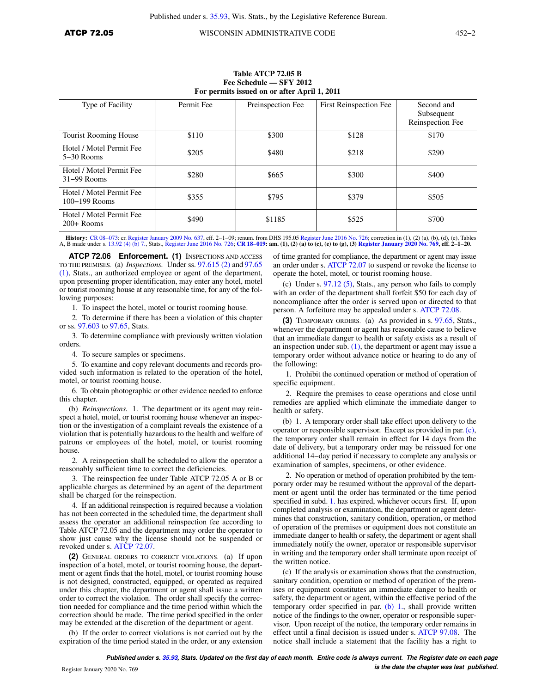| For permits issued on or and April 1, 2011 |            |                   |                        |                                              |  |  |  |
|--------------------------------------------|------------|-------------------|------------------------|----------------------------------------------|--|--|--|
| Type of Facility                           | Permit Fee | Preinspection Fee | First Reinspection Fee | Second and<br>Subsequent<br>Reinspection Fee |  |  |  |
| Tourist Rooming House                      | \$110      | \$300             | \$128                  | \$170                                        |  |  |  |
| Hotel / Motel Permit Fee<br>$5-30$ Rooms   | \$205      | \$480             | \$218                  | \$290                                        |  |  |  |
| Hotel / Motel Permit Fee<br>$31-99$ Rooms  | \$280      | \$665             | \$300                  | \$400                                        |  |  |  |
| Hotel / Motel Permit Fee<br>100–199 Rooms  | \$355      | \$795             | \$379                  | \$505                                        |  |  |  |
| Hotel / Motel Permit Fee<br>$200+$ Rooms   | \$490      | \$1185            | \$525                  | \$700                                        |  |  |  |

#### **Table ATCP 72.05 B Fee Schedule — SFY 2012 For permits issued on or after April 1, 2011**

**History:** [CR 08−073:](https://docs.legis.wisconsin.gov/document/cr/2008/73) cr. [Register January 2009 No. 637](https://docs.legis.wisconsin.gov/document/register/637/B/toc), eff. 2−1−09; renum. from DHS 195.05 [Register June 2016 No. 726](https://docs.legis.wisconsin.gov/document/register/726/B/toc); correction in (1), (2) (a), (b), (d), (e), Tables A, B made under s. [13.92 \(4\) \(b\) 7.](https://docs.legis.wisconsin.gov/document/statutes/13.92(4)(b)7.), Stats., [Register June 2016 No. 726;](https://docs.legis.wisconsin.gov/document/register/726/B/toc) **[CR 18−019](https://docs.legis.wisconsin.gov/document/cr/2018/19): am. (1), (2) (a) to (c), (e) to (g), (3) [Register January 2020 No. 769](https://docs.legis.wisconsin.gov/document/register/769/B/toc), eff. 2−1−20**.

**ATCP 72.06 Enforcement. (1)** INSPECTIONS AND ACCESS TO THE PREMISES. (a) *Inspections.* Under ss. [97.615 \(2\)](https://docs.legis.wisconsin.gov/document/statutes/97.615(2)) and [97.65](https://docs.legis.wisconsin.gov/document/statutes/97.65(1)) [\(1\)](https://docs.legis.wisconsin.gov/document/statutes/97.65(1)), Stats., an authorized employee or agent of the department, upon presenting proper identification, may enter any hotel, motel or tourist rooming house at any reasonable time, for any of the following purposes:

1. To inspect the hotel, motel or tourist rooming house.

2. To determine if there has been a violation of this chapter or ss. [97.603](https://docs.legis.wisconsin.gov/document/statutes/97.603) to [97.65](https://docs.legis.wisconsin.gov/document/statutes/97.65), Stats.

3. To determine compliance with previously written violation orders.

4. To secure samples or specimens.

5. To examine and copy relevant documents and records provided such information is related to the operation of the hotel, motel, or tourist rooming house.

6. To obtain photographic or other evidence needed to enforce this chapter.

(b) *Reinspections.* 1. The department or its agent may reinspect a hotel, motel, or tourist rooming house whenever an inspection or the investigation of a complaint reveals the existence of a violation that is potentially hazardous to the health and welfare of patrons or employees of the hotel, motel, or tourist rooming house.

2. A reinspection shall be scheduled to allow the operator a reasonably sufficient time to correct the deficiencies.

3. The reinspection fee under Table ATCP 72.05 A or B or applicable charges as determined by an agent of the department shall be charged for the reinspection.

4. If an additional reinspection is required because a violation has not been corrected in the scheduled time, the department shall assess the operator an additional reinspection fee according to Table ATCP 72.05 and the department may order the operator to show just cause why the license should not be suspended or revoked under s. [ATCP 72.07.](https://docs.legis.wisconsin.gov/document/administrativecode/ATCP%2072.07)

**(2)** GENERAL ORDERS TO CORRECT VIOLATIONS. (a) If upon inspection of a hotel, motel, or tourist rooming house, the department or agent finds that the hotel, motel, or tourist rooming house is not designed, constructed, equipped, or operated as required under this chapter, the department or agent shall issue a written order to correct the violation. The order shall specify the correction needed for compliance and the time period within which the correction should be made. The time period specified in the order may be extended at the discretion of the department or agent.

(b) If the order to correct violations is not carried out by the expiration of the time period stated in the order, or any extension of time granted for compliance, the department or agent may issue an order under s. [ATCP 72.07](https://docs.legis.wisconsin.gov/document/administrativecode/ATCP%2072.07) to suspend or revoke the license to operate the hotel, motel, or tourist rooming house.

(c) Under s. [97.12 \(5\),](https://docs.legis.wisconsin.gov/document/statutes/97.12(5)) Stats., any person who fails to comply with an order of the department shall forfeit \$50 for each day of noncompliance after the order is served upon or directed to that person. A forfeiture may be appealed under s. [ATCP 72.08.](https://docs.legis.wisconsin.gov/document/administrativecode/ATCP%2072.08)

**(3)** TEMPORARY ORDERS. (a) As provided in s. [97.65](https://docs.legis.wisconsin.gov/document/statutes/97.65), Stats., whenever the department or agent has reasonable cause to believe that an immediate danger to health or safety exists as a result of an inspection under sub.  $(1)$ , the department or agent may issue a temporary order without advance notice or hearing to do any of the following:

1. Prohibit the continued operation or method of operation of specific equipment.

2. Require the premises to cease operations and close until remedies are applied which eliminate the immediate danger to health or safety.

(b) 1. A temporary order shall take effect upon delivery to the operator or responsible supervisor. Except as provided in par. [\(c\),](https://docs.legis.wisconsin.gov/document/administrativecode/ATCP%2072.06(3)(c)) the temporary order shall remain in effect for 14 days from the date of delivery, but a temporary order may be reissued for one additional 14−day period if necessary to complete any analysis or examination of samples, specimens, or other evidence.

2. No operation or method of operation prohibited by the temporary order may be resumed without the approval of the department or agent until the order has terminated or the time period specified in subd. [1.](https://docs.legis.wisconsin.gov/document/administrativecode/ATCP%2072.06(3)(b)1.) has expired, whichever occurs first. If, upon completed analysis or examination, the department or agent determines that construction, sanitary condition, operation, or method of operation of the premises or equipment does not constitute an immediate danger to health or safety, the department or agent shall immediately notify the owner, operator or responsible supervisor in writing and the temporary order shall terminate upon receipt of the written notice.

(c) If the analysis or examination shows that the construction, sanitary condition, operation or method of operation of the premises or equipment constitutes an immediate danger to health or safety, the department or agent, within the effective period of the temporary order specified in par. [\(b\) 1.,](https://docs.legis.wisconsin.gov/document/administrativecode/ATCP%2072.06(3)(b)1.) shall provide written notice of the findings to the owner, operator or responsible supervisor. Upon receipt of the notice, the temporary order remains in effect until a final decision is issued under s. [ATCP 97.08.](https://docs.legis.wisconsin.gov/document/administrativecode/ATCP%2097.08) The notice shall include a statement that the facility has a right to

**Published under s. [35.93,](https://docs.legis.wisconsin.gov/document/statutes/35.93) Stats. Updated on the first day of each month. Entire code is always current. The Register date on each page is the date the chapter was last published.** Register January 2020 No. 769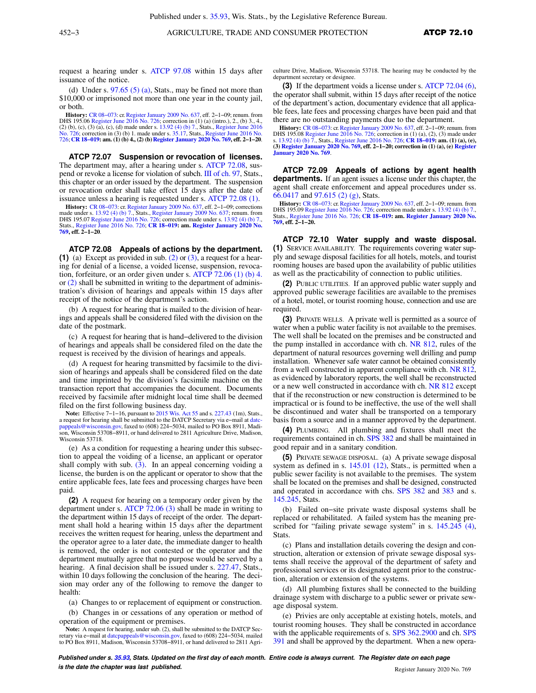request a hearing under s. [ATCP 97.08](https://docs.legis.wisconsin.gov/document/administrativecode/ATCP%2097.08) within 15 days after issuance of the notice.

(d) Under s.  $97.65(5)(a)$ , Stats., may be fined not more than \$10,000 or imprisoned not more than one year in the county jail, or both.

**History:** [CR 08−073](https://docs.legis.wisconsin.gov/document/cr/2008/73): cr. [Register January 2009 No. 637](https://docs.legis.wisconsin.gov/document/register/637/B/toc), eff. 2−1−09; renum. from DHS 195.06 [Register June 2016 No. 726](https://docs.legis.wisconsin.gov/document/register/726/B/toc); correction in (1) (a) (intro.), 2., (b) 3., 4., (2) (b), (c), (3) (a), (c), (d) made under s. [13.92 \(4\) \(b\) 7.](https://docs.legis.wisconsin.gov/document/statutes/13.92(4)(b)7.), Stats., [Register June 2016](https://docs.legis.wisconsin.gov/document/register/726/B/toc)<br>[No. 726](https://docs.legis.wisconsin.gov/document/register/726/B/toc); correction in (3) (b) 1. made under [726](https://docs.legis.wisconsin.gov/document/register/726/B/toc); **[CR 18−019:](https://docs.legis.wisconsin.gov/document/cr/2018/19) am. (1) (b) 4., (2) (b)[Register January 2020 No. 769,](https://docs.legis.wisconsin.gov/document/register/769/B/toc) eff. 2−1−20**.

**ATCP 72.07 Suspension or revocation of licenses.** The department may, after a hearing under s. [ATCP 72.08](https://docs.legis.wisconsin.gov/document/administrativecode/ATCP%2072.08), suspend or revoke a license for violation of subch. [III of ch. 97](https://docs.legis.wisconsin.gov/document/statutes/subch.%20III%20of%20ch.%2097), Stats., this chapter or an order issued by the department. The suspension or revocation order shall take effect 15 days after the date of issuance unless a hearing is requested under s. [ATCP 72.08 \(1\).](https://docs.legis.wisconsin.gov/document/administrativecode/ATCP%2072.08(1))

**History:** CR 08-073: cr. [Register January 2009 No. 637,](https://docs.legis.wisconsin.gov/document/register/637/B/toc) eff. 2-1-09; corrections made under s. [13.92 \(4\) \(b\) 7.,](https://docs.legis.wisconsin.gov/document/statutes/13.92(4)(b)7.) Stats., [Register January 2009 No. 637](https://docs.legis.wisconsin.gov/document/register/637/B/toc); renum. from DHS 195.07 [Register June 2016 No. 726;](https://docs.legis.wisconsin.gov/document/register/726/B/toc) correction made u Stats., [Register June 2016 No. 726;](https://docs.legis.wisconsin.gov/document/register/726/B/toc) **[CR 18−019:](https://docs.legis.wisconsin.gov/document/cr/2018/19) am. [Register January 2020 No.](https://docs.legis.wisconsin.gov/document/register/769/B/toc) [769](https://docs.legis.wisconsin.gov/document/register/769/B/toc), eff. 2−1−20**.

**ATCP 72.08 Appeals of actions by the department. (1)** (a) Except as provided in sub. [\(2\)](https://docs.legis.wisconsin.gov/document/administrativecode/ATCP%2072.08(2)) or [\(3\)](https://docs.legis.wisconsin.gov/document/administrativecode/ATCP%2072.08(3)), a request for a hearing for denial of a license, a voided license, suspension, revocation, forfeiture, or an order given under s. [ATCP 72.06 \(1\) \(b\) 4.](https://docs.legis.wisconsin.gov/document/administrativecode/ATCP%2072.06(1)(b)4.) or [\(2\)](https://docs.legis.wisconsin.gov/document/administrativecode/ATCP%2072.06(2)) shall be submitted in writing to the department of administration's division of hearings and appeals within 15 days after receipt of the notice of the department's action.

(b) A request for hearing that is mailed to the division of hearings and appeals shall be considered filed with the division on the date of the postmark.

(c) A request for hearing that is hand−delivered to the division of hearings and appeals shall be considered filed on the date the request is received by the division of hearings and appeals.

(d) A request for hearing transmitted by facsimile to the division of hearings and appeals shall be considered filed on the date and time imprinted by the division's facsimile machine on the transaction report that accompanies the document. Documents received by facsimile after midnight local time shall be deemed filed on the first following business day.

**Note:** Effective 7−1−16, pursuant to [2015 Wis. Act 55](https://docs.legis.wisconsin.gov/document/acts/2015/55) and s. [227.43](https://docs.legis.wisconsin.gov/document/statutes/227.43) (1m), Stats., a request for hearing shall be submitted to the DATCP Secretary via e−mail at [datc](mailto:datcpappeals@wisconsin.gov)[pappeals@wisconsin.gov,](mailto:datcpappeals@wisconsin.gov) faxed to (608) 224−5034, mailed to PO Box 8911, Madison, Wisconsin 53708−8911, or hand delivered to 2811 Agriculture Drive, Madison, Wisconsin 53718.

(e) As a condition for requesting a hearing under this subsection to appeal the voiding of a license, an applicant or operator shall comply with sub.  $(3)$ . In an appeal concerning voiding a license, the burden is on the applicant or operator to show that the entire applicable fees, late fees and processing charges have been paid.

**(2)** A request for hearing on a temporary order given by the department under s. [ATCP 72.06 \(3\)](https://docs.legis.wisconsin.gov/document/administrativecode/ATCP%2072.06(3)) shall be made in writing to the department within 15 days of receipt of the order. The department shall hold a hearing within 15 days after the department receives the written request for hearing, unless the department and the operator agree to a later date, the immediate danger to health is removed, the order is not contested or the operator and the department mutually agree that no purpose would be served by a hearing. A final decision shall be issued under s. [227.47](https://docs.legis.wisconsin.gov/document/statutes/227.47), Stats., within 10 days following the conclusion of the hearing. The decision may order any of the following to remove the danger to health:

(a) Changes to or replacement of equipment or construction.

(b) Changes in or cessations of any operation or method of operation of the equipment or premises.

**Note:** A request for hearing, under sub. (2), shall be submitted to the DATCP Secretary via e−mail at [datcpappeals@wisconsin.gov,](mailto:datcpappeals@wisconsin.gov) faxed to (608) 224−5034, mailed to PO Box 8911, Madison, Wisconsin 53708−8911, or hand delivered to 2811 Agriculture Drive, Madison, Wisconsin 53718. The hearing may be conducted by the department secretary or designee.

**(3)** If the department voids a license under s. [ATCP 72.04 \(6\),](https://docs.legis.wisconsin.gov/document/administrativecode/ATCP%2072.04(6)) the operator shall submit, within 15 days after receipt of the notice of the department's action, documentary evidence that all applicable fees, late fees and processing charges have been paid and that there are no outstanding payments due to the department.

**History:** [CR 08−073:](https://docs.legis.wisconsin.gov/document/cr/2008/73) cr. [Register January 2009 No. 637,](https://docs.legis.wisconsin.gov/document/register/637/B/toc) eff. 2−1−09; renum. from DHS 195.08 [Register June 2016 No. 726](https://docs.legis.wisconsin.gov/document/register/726/B/toc); correction in (1) (a), (2), (3) made under s. [13.92 \(4\) \(b\) 7.,](https://docs.legis.wisconsin.gov/document/statutes/13.92(4)(b)7.) Stats., [Register June 2016 No. 726](https://docs.legis.wisconsin.gov/document/register/726/B/toc); **[CR 18−019:](https://docs.legis.wisconsin.gov/document/cr/2018/19) am. (1) (a), (e), (3) [Register January 2020 No. 769,](https://docs.legis.wisconsin.gov/document/register/769/B/toc) eff. 2−1−20; correction in (1) (a), (e) [Register](https://docs.legis.wisconsin.gov/document/register/769/B/toc) [January 2020 No. 769](https://docs.legis.wisconsin.gov/document/register/769/B/toc)**.

**ATCP 72.09 Appeals of actions by agent health departments.** If an agent issues a license under this chapter, the agent shall create enforcement and appeal procedures under ss. [66.0417](https://docs.legis.wisconsin.gov/document/statutes/66.0417) and [97.615 \(2\) \(g\),](https://docs.legis.wisconsin.gov/document/statutes/97.615(2)(g)) Stats.

**History:** [CR 08−073:](https://docs.legis.wisconsin.gov/document/cr/2008/73) cr. [Register January 2009 No. 637,](https://docs.legis.wisconsin.gov/document/register/637/B/toc) eff. 2−1−09; renum. from DHS 195.09 [Register June 2016 No. 726](https://docs.legis.wisconsin.gov/document/register/726/B/toc); correction made under s. 13.92 (4) (b) Stats., [Register June 2016 No. 726;](https://docs.legis.wisconsin.gov/document/register/726/B/toc) **[CR 18−019:](https://docs.legis.wisconsin.gov/document/cr/2018/19) am. [Register January 2020 No.](https://docs.legis.wisconsin.gov/document/register/769/B/toc) [769,](https://docs.legis.wisconsin.gov/document/register/769/B/toc) eff. 2−1−20.**

**ATCP 72.10 Water supply and waste disposal. (1)** SERVICE AVAILABILITY. The requirements covering water supply and sewage disposal facilities for all hotels, motels, and tourist rooming houses are based upon the availability of public utilities as well as the practicability of connection to public utilities.

**(2)** PUBLIC UTILITIES. If an approved public water supply and approved public sewerage facilities are available to the premises of a hotel, motel, or tourist rooming house, connection and use are required.

**(3)** PRIVATE WELLS. A private well is permitted as a source of water when a public water facility is not available to the premises. The well shall be located on the premises and be constructed and the pump installed in accordance with ch. [NR 812](https://docs.legis.wisconsin.gov/document/administrativecode/ch.%20NR%20812), rules of the department of natural resources governing well drilling and pump installation. Whenever safe water cannot be obtained consistently from a well constructed in apparent compliance with ch. [NR 812,](https://docs.legis.wisconsin.gov/document/administrativecode/ch.%20NR%20812) as evidenced by laboratory reports, the well shall be reconstructed or a new well constructed in accordance with ch. [NR 812](https://docs.legis.wisconsin.gov/document/administrativecode/ch.%20NR%20812) except that if the reconstruction or new construction is determined to be impractical or is found to be ineffective, the use of the well shall be discontinued and water shall be transported on a temporary basis from a source and in a manner approved by the department.

**(4)** PLUMBING. All plumbing and fixtures shall meet the requirements contained in ch. [SPS 382](https://docs.legis.wisconsin.gov/document/administrativecode/ch.%20SPS%20382) and shall be maintained in good repair and in a sanitary condition.

**(5)** PRIVATE SEWAGE DISPOSAL. (a) A private sewage disposal system as defined in s. [145.01 \(12\),](https://docs.legis.wisconsin.gov/document/statutes/145.01(12)) Stats., is permitted when a public sewer facility is not available to the premises. The system shall be located on the premises and shall be designed, constructed and operated in accordance with chs. [SPS 382](https://docs.legis.wisconsin.gov/document/administrativecode/ch.%20SPS%20382) and [383](https://docs.legis.wisconsin.gov/document/administrativecode/ch.%20SPS%20383) and s. [145.245,](https://docs.legis.wisconsin.gov/document/statutes/145.245) Stats.

(b) Failed on−site private waste disposal systems shall be replaced or rehabilitated. A failed system has the meaning pre-scribed for "failing private sewage system" in s. [145.245 \(4\),](https://docs.legis.wisconsin.gov/document/statutes/145.245(4)) Stats.

(c) Plans and installation details covering the design and construction, alteration or extension of private sewage disposal systems shall receive the approval of the department of safety and professional services or its designated agent prior to the construction, alteration or extension of the systems.

(d) All plumbing fixtures shall be connected to the building drainage system with discharge to a public sewer or private sewage disposal system.

(e) Privies are only acceptable at existing hotels, motels, and tourist rooming houses. They shall be constructed in accordance with the applicable requirements of s. [SPS 362.2900](https://docs.legis.wisconsin.gov/document/administrativecode/SPS%20362.2900) and ch. [SPS](https://docs.legis.wisconsin.gov/document/administrativecode/ch.%20SPS%20391) [391](https://docs.legis.wisconsin.gov/document/administrativecode/ch.%20SPS%20391) and shall be approved by the department. When a new opera-

**Published under s. [35.93,](https://docs.legis.wisconsin.gov/document/statutes/35.93) Stats. Updated on the first day of each month. Entire code is always current. The Register date on each page is the date the chapter was last published. Compared the chapter of the chapter of the date the chapter vasi and the set of the chapter of the chapter of the chapter of the chapter of the chapter of the chapter of the c**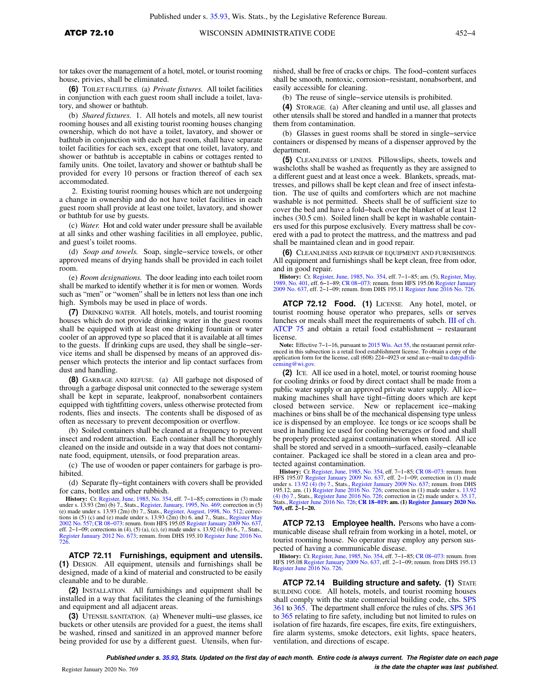tor takes over the management of a hotel, motel, or tourist rooming house, privies, shall be eliminated.

**(6)** TOILET FACILITIES. (a) *Private fixtures.* All toilet facilities in conjunction with each guest room shall include a toilet, lavatory, and shower or bathtub.

(b) *Shared fixtures.* 1. All hotels and motels, all new tourist rooming houses and all existing tourist rooming houses changing ownership, which do not have a toilet, lavatory, and shower or bathtub in conjunction with each guest room, shall have separate toilet facilities for each sex, except that one toilet, lavatory, and shower or bathtub is acceptable in cabins or cottages rented to family units. One toilet, lavatory and shower or bathtub shall be provided for every 10 persons or fraction thereof of each sex accommodated.

2. Existing tourist rooming houses which are not undergoing a change in ownership and do not have toilet facilities in each guest room shall provide at least one toilet, lavatory, and shower or bathtub for use by guests.

(c) *Water.* Hot and cold water under pressure shall be available at all sinks and other washing facilities in all employee, public, and guest's toilet rooms.

(d) *Soap and towels.* Soap, single−service towels, or other approved means of drying hands shall be provided in each toilet room.

(e) *Room designations.* The door leading into each toilet room shall be marked to identify whether it is for men or women. Words such as "men" or "women" shall be in letters not less than one inch high. Symbols may be used in place of words.

**(7)** DRINKING WATER. All hotels, motels, and tourist rooming houses which do not provide drinking water in the guest rooms shall be equipped with at least one drinking fountain or water cooler of an approved type so placed that it is available at all times to the guests. If drinking cups are used, they shall be single−service items and shall be dispensed by means of an approved dispenser which protects the interior and lip contact surfaces from dust and handling.

**(8)** GARBAGE AND REFUSE. (a) All garbage not disposed of through a garbage disposal unit connected to the sewerage system shall be kept in separate, leakproof, nonabsorbent containers equipped with tightfitting covers, unless otherwise protected from rodents, flies and insects. The contents shall be disposed of as often as necessary to prevent decomposition or overflow.

(b) Soiled containers shall be cleaned at a frequency to prevent insect and rodent attraction. Each container shall be thoroughly cleaned on the inside and outside in a way that does not contaminate food, equipment, utensils, or food preparation areas.

(c) The use of wooden or paper containers for garbage is prohibited.

(d) Separate fly−tight containers with covers shall be provided for cans, bottles and other rubbish.

**History:** Cr. [Register, June, 1985, No. 354,](https://docs.legis.wisconsin.gov/document/register/354/B/toc) eff. 7−1−85; corrections in (3) made under s. 13.93 (2m) (b) 7., Stats., [Register, January, 1995, No. 469](https://docs.legis.wisconsin.gov/document/register/469/B/toc); correction in (5)<br>(e) made under s. 13.93 (2m) (b) 7., Stats., [Register, August, 1998, No. 512;](https://docs.legis.wisconsin.gov/document/register/512/B/toc) correc-<br>tions in (5) (c) and (e) made under s. 13.93 (2m [2002 No. 557](https://docs.legis.wisconsin.gov/document/register/557/B/toc); CR 08–073: renum. from HFS 195.05 [Register January 2009 No. 637](https://docs.legis.wisconsin.gov/document/register/637/B/toc),<br>eff. 2–1–09; corrections in (4), (5) (a), (c), (e) made under s. 13.92 (4) (b) 6, 7, Stats,<br>[Register January 2012 No. 673;](https://docs.legis.wisconsin.gov/document/register/673/B/toc) renum. from DHS 195. [726](https://docs.legis.wisconsin.gov/document/register/726/B/toc).

**ATCP 72.11 Furnishings, equipment and utensils. (1)** DESIGN. All equipment, utensils and furnishings shall be designed, made of a kind of material and constructed to be easily cleanable and to be durable.

**(2)** INSTALLATION. All furnishings and equipment shall be installed in a way that facilitates the cleaning of the furnishings and equipment and all adjacent areas.

**(3)** UTENSIL SANITATION. (a) Whenever multi−use glasses, ice buckets or other utensils are provided for a guest, the items shall be washed, rinsed and sanitized in an approved manner before being provided for use by a different guest. Utensils, when furnished, shall be free of cracks or chips. The food−content surfaces shall be smooth, nontoxic, corrosion−resistant, nonabsorbent, and easily accessible for cleaning.

(b) The reuse of single−service utensils is prohibited.

**(4)** STORAGE. (a) After cleaning and until use, all glasses and other utensils shall be stored and handled in a manner that protects them from contamination.

(b) Glasses in guest rooms shall be stored in single−service containers or dispensed by means of a dispenser approved by the department.

**(5)** CLEANLINESS OF LINENS. Pillowslips, sheets, towels and washcloths shall be washed as frequently as they are assigned to a different guest and at least once a week. Blankets, spreads, mattresses, and pillows shall be kept clean and free of insect infestation. The use of quilts and comforters which are not machine washable is not permitted. Sheets shall be of sufficient size to cover the bed and have a fold−back over the blanket of at least 12 inches (30.5 cm). Soiled linen shall be kept in washable containers used for this purpose exclusively. Every mattress shall be covered with a pad to protect the mattress, and the mattress and pad shall be maintained clean and in good repair.

**(6)** CLEANLINESS AND REPAIR OF EQUIPMENT AND FURNISHINGS. All equipment and furnishings shall be kept clean, free from odor, and in good repair.

**History:** Cr. [Register, June, 1985, No. 354,](https://docs.legis.wisconsin.gov/document/register/354/B/toc) eff. 7–1–85; am. (5), [Register, May,](https://docs.legis.wisconsin.gov/document/register/401/B/toc) No. 401, eff. 6–1–89; CR 08–073: renum. from HFS 1950, No. 40109<br>[1989, No. 401,](https://docs.legis.wisconsin.gov/document/register/401/B/toc) eff. 6–1–89; CR 08–073: renum. from HFS 195.06 Register Jun

**ATCP 72.12 Food. (1)** LICENSE. Any hotel, motel, or tourist rooming house operator who prepares, sells or serves lunches or meals shall meet the requirements of subch. [III of ch.](https://docs.legis.wisconsin.gov/document/administrativecode/subch.%20III%20of%20ch.%20ATCP%2075) [ATCP 75](https://docs.legis.wisconsin.gov/document/administrativecode/subch.%20III%20of%20ch.%20ATCP%2075) and obtain a retail food establishment − restaurant license.

**Note:** Effective 7−1−16, pursuant to [2015 Wis. Act 55,](https://docs.legis.wisconsin.gov/document/acts/2015/55) the restaurant permit referenced in this subsection is a retail food establishment license. To obtain a copy of the application form for the license, call (608) 224–4923 or send an e−mail to [datcpdfsli](mailto:datcpdfslicensing@wi.gov)censing@wi.go

**(2)** ICE. All ice used in a hotel, motel, or tourist rooming house for cooling drinks or food by direct contact shall be made from a public water supply or an approved private water supply. All ice− making machines shall have tight−fitting doors which are kept closed between service. New or replacement ice−making machines or bins shall be of the mechanical dispensing type unless ice is dispensed by an employee. Ice tongs or ice scoops shall be used in handling ice used for cooling beverages or food and shall be properly protected against contamination when stored. All ice shall be stored and served in a smooth−surfaced, easily−cleanable container. Packaged ice shall be stored in a clean area and protected against contamination.

**History:** Cr. [Register, June, 1985, No. 354](https://docs.legis.wisconsin.gov/document/register/354/B/toc), eff. 7–1–85; CR 08–073: renum. from HFS 195.07 [Register January 2009 No. 637,](https://docs.legis.wisconsin.gov/document/register/637/B/toc) eff. 2–1–09; correction in (1) made under s. [13.92 \(4\) \(b\) 7.](https://docs.legis.wisconsin.gov/document/statutes/13.92(4)(b)7.), Stats., [Register January 2009 No. 637](https://docs.legis.wisconsin.gov/document/register/637/B/toc); renum. from DHS<br>195.12, am. (1) [Register June 2016 No. 726;](https://docs.legis.wisconsin.gov/document/register/726/B/toc) correction in (1) made under s. [13.92](https://docs.legis.wisconsin.gov/document/statutes/13.92(4)(b)7.)<br>[\(4\) \(b\) 7.,](https://docs.legis.wisconsin.gov/document/statutes/13.92(4)(b)7.) Stats., [Register June 2016 No. 726](https://docs.legis.wisconsin.gov/document/register/726/B/toc); correction Stats.,[Register June 2016 No. 726](https://docs.legis.wisconsin.gov/document/register/726/B/toc); **[CR 18−019:](https://docs.legis.wisconsin.gov/document/cr/2018/19) am. (1) [Register January 2020 No.](https://docs.legis.wisconsin.gov/document/register/769/B/toc) [769,](https://docs.legis.wisconsin.gov/document/register/769/B/toc) eff. 2−1−20.**

**ATCP 72.13 Employee health.** Persons who have a communicable disease shall refrain from working in a hotel, motel, or tourist rooming house. No operator may employ any person suspected of having a communicable disease.

**History:** Cr. [Register, June, 1985, No. 354](https://docs.legis.wisconsin.gov/document/register/354/B/toc), eff. 7−1−85; [CR 08−073:](https://docs.legis.wisconsin.gov/document/cr/2008/73) renum. from HFS 195.08 [Register January 2009 No. 637,](https://docs.legis.wisconsin.gov/document/register/637/B/toc) eff. 2−1−09; renum. from DHS 195.13 [Register June 2016 No. 726](https://docs.legis.wisconsin.gov/document/register/726/B/toc).

**ATCP 72.14 Building structure and safety. (1)** STATE BUILDING CODE. All hotels, motels, and tourist rooming houses shall comply with the state commercial building code, chs. [SPS](https://docs.legis.wisconsin.gov/document/administrativecode/ch.%20SPS%20361) [361](https://docs.legis.wisconsin.gov/document/administrativecode/ch.%20SPS%20361) to [365](https://docs.legis.wisconsin.gov/document/administrativecode/ch.%20SPS%20365). The department shall enforce the rules of chs. [SPS 361](https://docs.legis.wisconsin.gov/document/administrativecode/ch.%20SPS%20361) to [365](https://docs.legis.wisconsin.gov/document/administrativecode/ch.%20SPS%20365) relating to fire safety, including but not limited to rules on isolation of fire hazards, fire escapes, fire exits, fire extinguishers, fire alarm systems, smoke detectors, exit lights, space heaters, ventilation, and directions of escape.

**Published under s. [35.93,](https://docs.legis.wisconsin.gov/document/statutes/35.93) Stats. Updated on the first day of each month. Entire code is always current. The Register date on each page is the date the chapter was last published. is the date the chapter was last published.**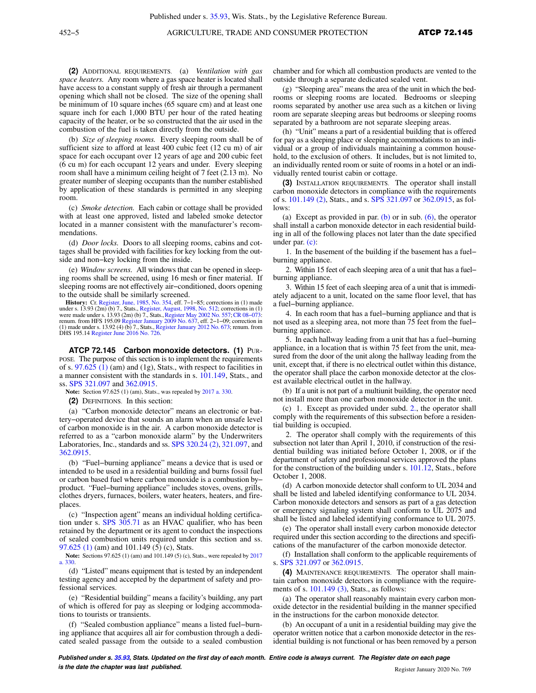**(2)** ADDITIONAL REQUIREMENTS. (a) *Ventilation with gas space heaters.* Any room where a gas space heater is located shall have access to a constant supply of fresh air through a permanent opening which shall not be closed. The size of the opening shall be minimum of 10 square inches (65 square cm) and at least one square inch for each 1,000 BTU per hour of the rated heating capacity of the heater, or be so constructed that the air used in the combustion of the fuel is taken directly from the outside.

(b) *Size of sleeping rooms.* Every sleeping room shall be of sufficient size to afford at least 400 cubic feet (12 cu m) of air space for each occupant over 12 years of age and 200 cubic feet (6 cu m) for each occupant 12 years and under. Every sleeping room shall have a minimum ceiling height of 7 feet (2.13 m). No greater number of sleeping occupants than the number established by application of these standards is permitted in any sleeping room.

(c) *Smoke detection.* Each cabin or cottage shall be provided with at least one approved, listed and labeled smoke detector located in a manner consistent with the manufacturer's recommendations.

(d) *Door locks.* Doors to all sleeping rooms, cabins and cottages shall be provided with facilities for key locking from the outside and non−key locking from the inside.

(e) *Window screens.* All windows that can be opened in sleeping rooms shall be screened, using 16 mesh or finer material. If sleeping rooms are not effectively air−conditioned, doors opening to the outside shall be similarly screened.

**History:** Cr. [Register, June, 1985, No. 354,](https://docs.legis.wisconsin.gov/document/register/354/B/toc) eff. 7−1−85; corrections in (1) made under s. 13.93 (2m) (b) 7., Stats., [Register, August, 1998, No. 512;](https://docs.legis.wisconsin.gov/document/register/512/B/toc) corrections in (1)<br>were made under s. 13.93 (2m) (b) 7., Stats., [Register May 2002 No. 557;](https://docs.legis.wisconsin.gov/document/register/557/B/toc) CR 08–073:<br>renum. from HFS 195.09 Register January 2009 No. 6 made under s.  $13.92$  (4) (b) 7., Stats., [Register January 2012 No. 673](https://docs.legis.wisconsin.gov/document/register/673/B/toc); renum. from DHS 195.14 [Register June 2016 No. 726.](https://docs.legis.wisconsin.gov/document/register/726/B/toc)

**ATCP 72.145 Carbon monoxide detectors. (1)** PUR-POSE. The purpose of this section is to implement the requirements of s.  $97.625$  (1) (am) and (1g), Stats., with respect to facilities in a manner consistent with the standards in s. [101.149,](https://docs.legis.wisconsin.gov/document/statutes/101.149) Stats., and ss. [SPS 321.097](https://docs.legis.wisconsin.gov/document/administrativecode/SPS%20321.097) and [362.0915.](https://docs.legis.wisconsin.gov/document/administrativecode/SPS%20362.0915)

**Note:** Section 97.625 (1) (am), Stats., was repealed by [2017 a. 330](https://docs.legis.wisconsin.gov/document/acts/2017/330).

**(2)** DEFINITIONS. In this section:

(a) "Carbon monoxide detector" means an electronic or battery−operated device that sounds an alarm when an unsafe level of carbon monoxide is in the air. A carbon monoxide detector is referred to as a "carbon monoxide alarm" by the Underwriters Laboratories, Inc., standards and ss. [SPS 320.24 \(2\),](https://docs.legis.wisconsin.gov/document/administrativecode/SPS%20320.24(2)) [321.097](https://docs.legis.wisconsin.gov/document/administrativecode/SPS%20321.097), and [362.0915.](https://docs.legis.wisconsin.gov/document/administrativecode/SPS%20362.0915)

(b) "Fuel−burning appliance" means a device that is used or intended to be used in a residential building and burns fossil fuel or carbon based fuel where carbon monoxide is a combustion by− product. "Fuel−burning appliance" includes stoves, ovens, grills, clothes dryers, furnaces, boilers, water heaters, heaters, and fireplaces.

(c) "Inspection agent" means an individual holding certification under s. [SPS 305.71](https://docs.legis.wisconsin.gov/document/administrativecode/SPS%20305.71) as an HVAC qualifier, who has been retained by the department or its agent to conduct the inspections of sealed combustion units required under this section and ss. [97.625 \(1\)](https://docs.legis.wisconsin.gov/document/statutes/97.625(1)) (am) and 101.149 (5) (c), Stats.

**Note:** Sections 97.625 (1) (am) and 101.149 (5) (c), Stats., were repealed by [2017](https://docs.legis.wisconsin.gov/document/acts/2017/330) [a. 330.](https://docs.legis.wisconsin.gov/document/acts/2017/330)

(d) "Listed" means equipment that is tested by an independent testing agency and accepted by the department of safety and professional services.

(e) "Residential building" means a facility's building, any part of which is offered for pay as sleeping or lodging accommodations to tourists or transients.

(f) "Sealed combustion appliance" means a listed fuel−burning appliance that acquires all air for combustion through a dedicated sealed passage from the outside to a sealed combustion

chamber and for which all combustion products are vented to the outside through a separate dedicated sealed vent.

(g) "Sleeping area" means the area of the unit in which the bedrooms or sleeping rooms are located. Bedrooms or sleeping rooms separated by another use area such as a kitchen or living room are separate sleeping areas but bedrooms or sleeping rooms separated by a bathroom are not separate sleeping areas.

(h) "Unit" means a part of a residential building that is offered for pay as a sleeping place or sleeping accommodations to an individual or a group of individuals maintaining a common household, to the exclusion of others. It includes, but is not limited to, an individually rented room or suite of rooms in a hotel or an individually rented tourist cabin or cottage.

**(3)** INSTALLATION REQUIREMENTS. The operator shall install carbon monoxide detectors in compliance with the requirements of s. [101.149 \(2\)](https://docs.legis.wisconsin.gov/document/statutes/101.149(2)), Stats., and s. [SPS 321.097](https://docs.legis.wisconsin.gov/document/administrativecode/SPS%20321.097) or [362.0915,](https://docs.legis.wisconsin.gov/document/administrativecode/SPS%20362.0915) as follows:

(a) Except as provided in par. [\(b\)](https://docs.legis.wisconsin.gov/document/administrativecode/ATCP%2072.145(3)(b)) or in sub.  $(6)$ , the operator shall install a carbon monoxide detector in each residential building in all of the following places not later than the date specified under par. [\(c\):](https://docs.legis.wisconsin.gov/document/administrativecode/ATCP%2072.145(3)(c))

1. In the basement of the building if the basement has a fuel− burning appliance.

2. Within 15 feet of each sleeping area of a unit that has a fuel− burning appliance.

3. Within 15 feet of each sleeping area of a unit that is immediately adjacent to a unit, located on the same floor level, that has a fuel−burning appliance.

4. In each room that has a fuel−burning appliance and that is not used as a sleeping area, not more than 75 feet from the fuel− burning appliance.

5. In each hallway leading from a unit that has a fuel−burning appliance, in a location that is within 75 feet from the unit, measured from the door of the unit along the hallway leading from the unit, except that, if there is no electrical outlet within this distance, the operator shall place the carbon monoxide detector at the closest available electrical outlet in the hallway.

(b) If a unit is not part of a multiunit building, the operator need not install more than one carbon monoxide detector in the unit.

(c) 1. Except as provided under subd. [2.,](https://docs.legis.wisconsin.gov/document/administrativecode/ATCP%2072.145(3)(c)2.) the operator shall comply with the requirements of this subsection before a residential building is occupied.

2. The operator shall comply with the requirements of this subsection not later than April 1, 2010, if construction of the residential building was initiated before October 1, 2008, or if the department of safety and professional services approved the plans for the construction of the building under s. [101.12](https://docs.legis.wisconsin.gov/document/statutes/101.12), Stats., before October 1, 2008.

(d) A carbon monoxide detector shall conform to UL 2034 and shall be listed and labeled identifying conformance to UL 2034. Carbon monoxide detectors and sensors as part of a gas detection or emergency signaling system shall conform to UL 2075 and shall be listed and labeled identifying conformance to UL 2075.

(e) The operator shall install every carbon monoxide detector required under this section according to the directions and specifications of the manufacturer of the carbon monoxide detector.

(f) Installation shall conform to the applicable requirements of s. [SPS 321.097](https://docs.legis.wisconsin.gov/document/administrativecode/SPS%20321.097) or [362.0915.](https://docs.legis.wisconsin.gov/document/administrativecode/SPS%20362.0915)

**(4)** MAINTENANCE REQUIREMENTS. The operator shall maintain carbon monoxide detectors in compliance with the requirements of s. [101.149 \(3\)](https://docs.legis.wisconsin.gov/document/statutes/101.149(3)), Stats., as follows:

(a) The operator shall reasonably maintain every carbon monoxide detector in the residential building in the manner specified in the instructions for the carbon monoxide detector.

(b) An occupant of a unit in a residential building may give the operator written notice that a carbon monoxide detector in the residential building is not functional or has been removed by a person

**Published under s. [35.93,](https://docs.legis.wisconsin.gov/document/statutes/35.93) Stats. Updated on the first day of each month. Entire code is always current. The Register date on each page is the date the chapter was last published. Compared the chapter of the chapter of the date the chapter vasi and the set of the chapter of the chapter of the chapter of the chapter of the chapter of the chapter of the c**